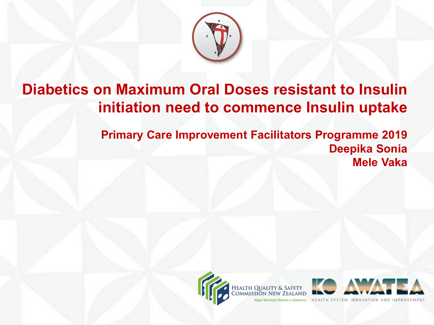

### **Diabetics on Maximum Oral Doses resistant to Insulin initiation need to commence Insulin uptake**

**Primary Care Improvement Facilitators Programme 2019 Deepika Sonia Mele Vaka**



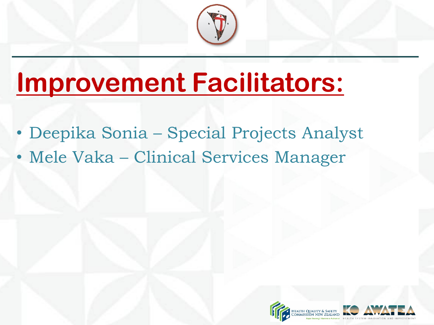

# **Improvement Facilitators:**

- Deepika Sonia Special Projects Analyst
- Mele Vaka Clinical Services Manager

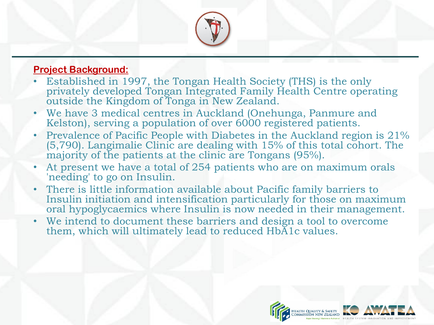

#### **Project Background:**

- Established in 1997, the Tongan Health Society (THS) is the only privately developed Tongan Integrated Family Health Centre operating outside the Kingdom of Tonga in New Zealand.
- We have 3 medical centres in Auckland (Onehunga, Panmure and Kelston), serving a population of over 6000 registered patients.
- Prevalence of Pacific People with Diabetes in the Auckland region is 21% (5,790). Langimalie Clinic are dealing with 15% of this total cohort. The majority of the patients at the clinic are Tongans (95%).
- At present we have a total of 254 patients who are on maximum orals 'needing' to go on Insulin.
- There is little information available about Pacific family barriers to Insulin initiation and intensification particularly for those on maximum oral hypoglycaemics where Insulin is now needed in their management.
- We intend to document these barriers and design a tool to overcome them, which will ultimately lead to reduced HbA1c values.

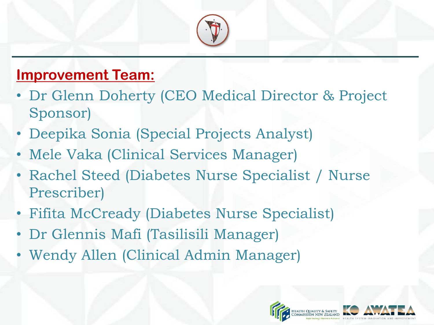

### **Improvement Team:**

- Dr Glenn Doherty (CEO Medical Director & Project Sponsor)
- Deepika Sonia (Special Projects Analyst)
- Mele Vaka (Clinical Services Manager)
- Rachel Steed (Diabetes Nurse Specialist / Nurse Prescriber)
- Fifita McCready (Diabetes Nurse Specialist)
- Dr Glennis Mafi (Tasilisili Manager)
- Wendy Allen (Clinical Admin Manager)

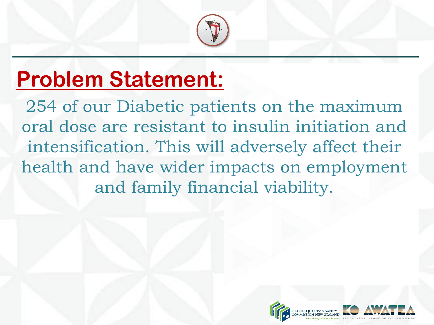

# **Problem Statement:**

254 of our Diabetic patients on the maximum oral dose are resistant to insulin initiation and intensification. This will adversely affect their health and have wider impacts on employment and family financial viability.

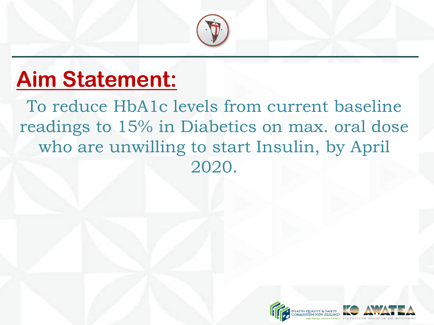

# **Aim Statement:**

To reduce HbA1c levels from current baseline readings to 15% in Diabetics on max. oral dose who are unwilling to start Insulin, by April 2020.

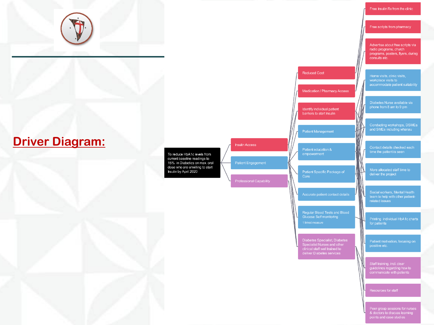

#### **Driver Diagram:**

To reduce HbA1c levels from current baseline readings to 15% in Diabetics on max. oral dose who are unwilling to start Insulin by April 2020

**Insulin Access** Patient Engagement

**Professional Capability** 

### Free scripts from pharmacy

Free Insulin Rx from the clinic

Advertise about free scripts via radio programs, church programs, posters, flyers, during consults etc.

Home visits, clinic visits,<br>workplace visits to<br>accommodate patient suitability

Diabetes Nurse available via

Conducting workshops, DSMEs and SMEs including whanau

Contact details checked each<br>time the patient is seen

WV

Social workers, Mental Health team to help with other patientrelated issues

Regular Blood Tests and Blood<br>Glucose Self monitoring

Diabetes Specialist, Diabetes<br>Specialist Nurses and other<br>clinical staff well trained to<br>deliver Diabetes services

Patient Specific Package of

Reduced Cost

Medication / Pharmacy Access

Identify individual patient barriers to start Insulin

Patient motivation, focusing on

guidelines regarding how to<br>communicate with patients

for patients

Peer group sessions for nurses<br>& doctors to discuss learning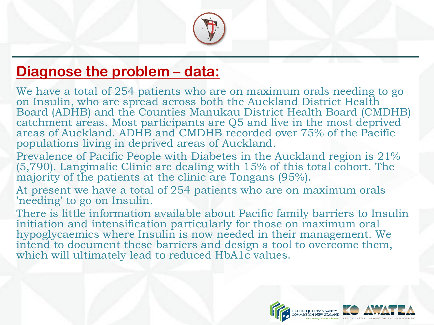

### **Diagnose the problem – data:**

We have a total of 254 patients who are on maximum orals needing to go on Insulin, who are spread across both the Auckland District Health Board (ADHB) and the Counties Manukau District Health Board (CMDHB) catchment areas. Most participants are Q5 and live in the most deprived areas of Auckland. ADHB and CMDHB recorded over 75% of the Pacific populations living in deprived areas of Auckland.

Prevalence of Pacific People with Diabetes in the Auckland region is 21% (5,790). Langimalie Clinic are dealing with 15% of this total cohort. The majority of the patients at the clinic are Tongans (95%).

At present we have a total of 254 patients who are on maximum orals 'needing' to go on Insulin.

There is little information available about Pacific family barriers to Insulin initiation and intensification particularly for those on maximum oral hypoglycaemics where Insulin is now needed in their management. We intend to document these barriers and design a tool to overcome them, which will ultimately lead to reduced HbA1c values.

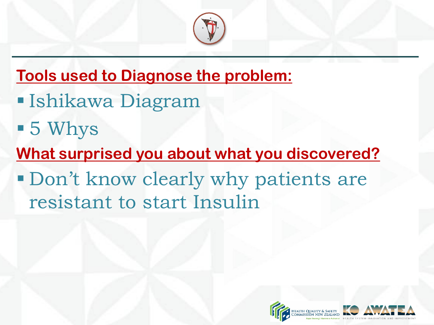

- **Tools used to Diagnose the problem:**
- Ishikawa Diagram
- 5 Whys
- **What surprised you about what you discovered?**
- Don't know clearly why patients are resistant to start Insulin

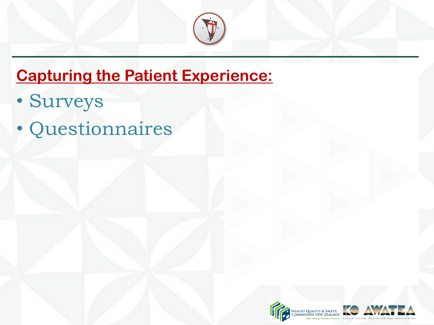

### **Capturing the Patient Experience:**

- Surveys
- Questionnaires

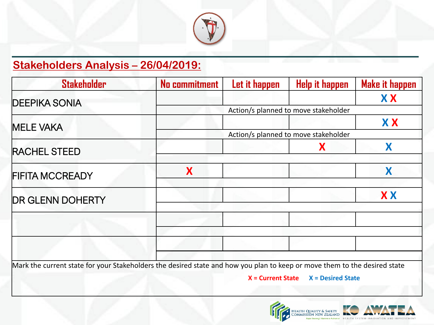

### **Stakeholders Analysis – 26/04/2019:**

| <b>Stakeholder</b>                                                                                                        | <b>No commitment</b> | Let it happen                        | Help it happen      | <b>Make it happen</b> |  |  |
|---------------------------------------------------------------------------------------------------------------------------|----------------------|--------------------------------------|---------------------|-----------------------|--|--|
| <b>DEEPIKA SONIA</b>                                                                                                      |                      |                                      |                     | <b>XX</b>             |  |  |
|                                                                                                                           |                      | Action/s planned to move stakeholder |                     |                       |  |  |
| <b>MELE VAKA</b>                                                                                                          |                      |                                      |                     | <b>XX</b>             |  |  |
|                                                                                                                           |                      | Action/s planned to move stakeholder |                     |                       |  |  |
| <b>RACHEL STEED</b>                                                                                                       |                      |                                      | X                   | X                     |  |  |
|                                                                                                                           |                      |                                      |                     |                       |  |  |
| <b>FIFITA MCCREADY</b>                                                                                                    | X                    |                                      |                     | X                     |  |  |
|                                                                                                                           |                      |                                      |                     |                       |  |  |
| <b>DR GLENN DOHERTY</b>                                                                                                   |                      |                                      |                     | <b>XX</b>             |  |  |
|                                                                                                                           |                      |                                      |                     |                       |  |  |
|                                                                                                                           |                      |                                      |                     |                       |  |  |
|                                                                                                                           |                      |                                      |                     |                       |  |  |
|                                                                                                                           |                      |                                      |                     |                       |  |  |
|                                                                                                                           |                      |                                      |                     |                       |  |  |
| Mark the current state for your Stakeholders the desired state and how you plan to keep or move them to the desired state |                      |                                      |                     |                       |  |  |
|                                                                                                                           |                      | $X = Current State$                  | $X =$ Desired State |                       |  |  |
|                                                                                                                           |                      |                                      |                     |                       |  |  |

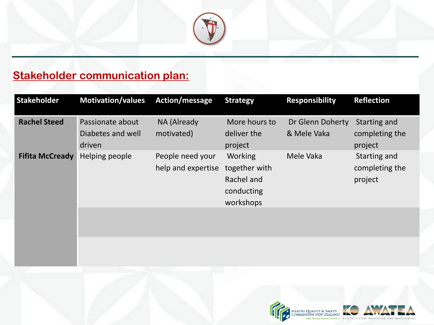

### **Stakeholder communication plan:**

| <b>Stakeholder</b>     | Motivation/values Action/message                |                                        | <b>Strategy</b>                                                          | <b>Responsibility</b>           | <b>Reflection</b>                         |
|------------------------|-------------------------------------------------|----------------------------------------|--------------------------------------------------------------------------|---------------------------------|-------------------------------------------|
| <b>Rachel Steed</b>    | Passionate about<br>Diabetes and well<br>driven | NA (Already<br>motivated)              | More hours to<br>deliver the<br>project                                  | Dr Glenn Doherty<br>& Mele Vaka | Starting and<br>completing the<br>project |
| <b>Fifita McCready</b> | Helping people                                  | People need your<br>help and expertise | <b>Working</b><br>together with<br>Rachel and<br>conducting<br>workshops | Mele Vaka                       | Starting and<br>completing the<br>project |

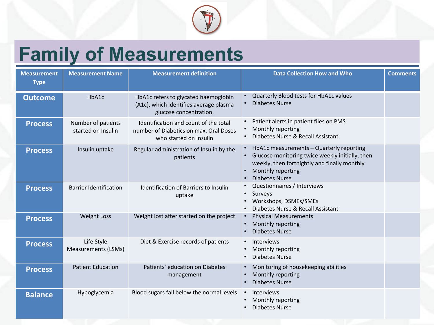

# **Family of Measurements**

| <b>Measurement</b><br><b>Type</b> | <b>Measurement Name</b>                  | <b>Measurement definition</b>                                                                             | <b>Data Collection How and Who</b>                                                                                                                                                                     | <b>Comments</b> |
|-----------------------------------|------------------------------------------|-----------------------------------------------------------------------------------------------------------|--------------------------------------------------------------------------------------------------------------------------------------------------------------------------------------------------------|-----------------|
| <b>Outcome</b>                    | HbA1c                                    | HbA1c refers to glycated haemoglobin<br>(A1c), which identifies average plasma<br>glucose concentration.  | Quarterly Blood tests for HbA1c values<br><b>Diabetes Nurse</b>                                                                                                                                        |                 |
| <b>Process</b>                    | Number of patients<br>started on Insulin | Identification and count of the total<br>number of Diabetics on max. Oral Doses<br>who started on Insulin | Patient alerts in patient files on PMS<br>Monthly reporting<br>Diabetes Nurse & Recall Assistant<br>$\bullet$                                                                                          |                 |
| <b>Process</b>                    | Insulin uptake                           | Regular administration of Insulin by the<br>patients                                                      | HbA1c measurements - Quarterly reporting<br>Glucose monitoring twice weekly initially, then<br>$\bullet$<br>weekly, then fortnightly and finally monthly<br>Monthly reporting<br><b>Diabetes Nurse</b> |                 |
| <b>Process</b>                    | <b>Barrier Identification</b>            | <b>Identification of Barriers to Insulin</b><br>uptake                                                    | Questionnaires / Interviews<br>Surveys<br>Workshops, DSMEs/SMEs<br>Diabetes Nurse & Recall Assistant                                                                                                   |                 |
| <b>Process</b>                    | <b>Weight Loss</b>                       | Weight lost after started on the project                                                                  | <b>Physical Measurements</b><br>Monthly reporting<br><b>Diabetes Nurse</b>                                                                                                                             |                 |
| <b>Process</b>                    | Life Style<br>Measurements (LSMs)        | Diet & Exercise records of patients                                                                       | <b>Interviews</b><br>Monthly reporting<br><b>Diabetes Nurse</b>                                                                                                                                        |                 |
| <b>Process</b>                    | <b>Patient Education</b>                 | Patients' education on Diabetes<br>management                                                             | Monitoring of housekeeping abilities<br>Monthly reporting<br><b>Diabetes Nurse</b>                                                                                                                     |                 |
| <b>Balance</b>                    | Hypoglycemia                             | Blood sugars fall below the normal levels                                                                 | <b>Interviews</b><br>$\bullet$<br>Monthly reporting<br><b>Diabetes Nurse</b>                                                                                                                           |                 |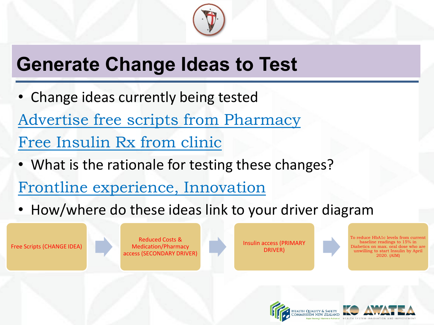

## **Generate Change Ideas to Test**

- Change ideas currently being tested Advertise free scripts from Pharmacy Free Insulin Rx from clinic
- What is the rationale for testing these changes?
- Frontline experience, Innovation
- How/where do these ideas link to your driver diagram

Free Scripts (CHANGE IDEA)

Reduced Costs & Medication/Pharmacy access (SECONDARY DRIVER)

Insulin access (PRIMARY DRIVER)

To reduce HbA1c levels from current baseline readings to 15% in Diabetics on max. oral dose who are unwilling to start Insulin by April 2020. (AIM)



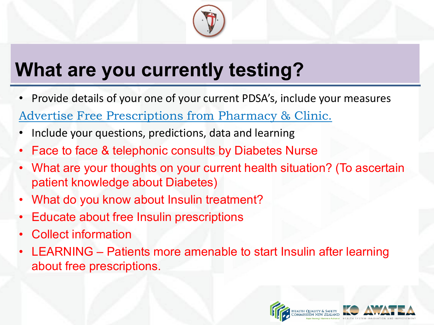

## **What are you currently testing?**

• Provide details of your one of your current PDSA's, include your measures

Advertise Free Prescriptions from Pharmacy & Clinic.

- Include your questions, predictions, data and learning
- Face to face & telephonic consults by Diabetes Nurse
- What are your thoughts on your current health situation? (To ascertain patient knowledge about Diabetes)
- What do you know about Insulin treatment?
- Educate about free Insulin prescriptions
- Collect information
- LEARNING Patients more amenable to start Insulin after learning about free prescriptions.

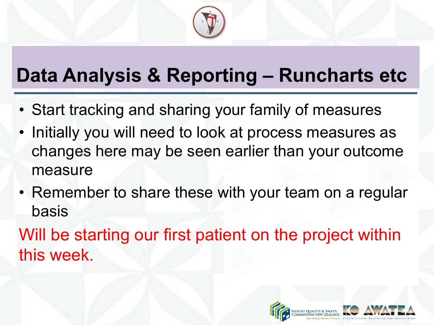

## **Data Analysis & Reporting – Runcharts etc**

- Start tracking and sharing your family of measures
- Initially you will need to look at process measures as changes here may be seen earlier than your outcome measure
- Remember to share these with your team on a regular basis

Will be starting our first patient on the project within this week.

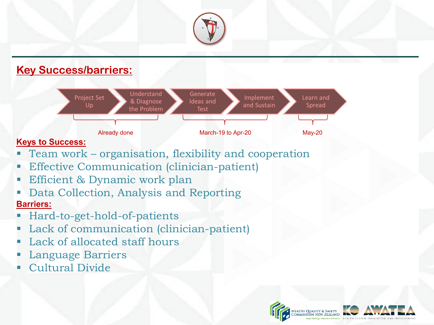

#### **Key Success/barriers:**



#### **Keys to Success:**

- Team work organisation, flexibility and cooperation
- Effective Communication (clinician-patient)
- Efficient & Dynamic work plan
- Data Collection, Analysis and Reporting **Barriers:**
- Hard-to-get-hold-of-patients
- Lack of communication (clinician-patient)
- Lack of allocated staff hours
- Language Barriers
- Cultural Divide